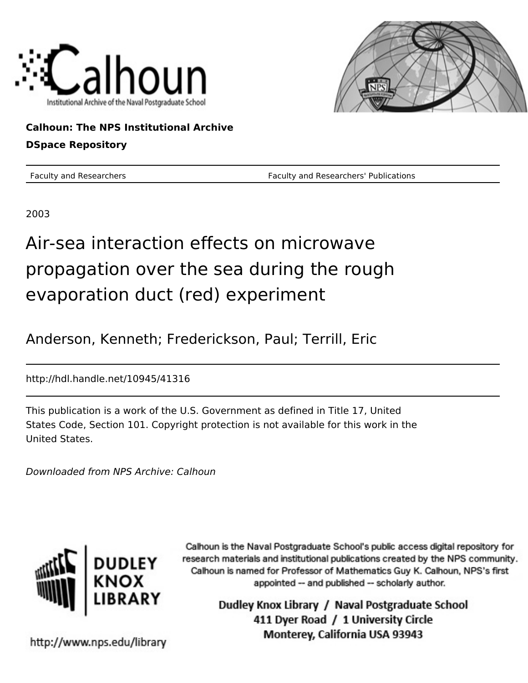



**Calhoun: The NPS Institutional Archive DSpace Repository**

Faculty and Researchers Faculty and Researchers' Publications

2003

# Air-sea interaction effects on microwave propagation over the sea during the rough evaporation duct (red) experiment

Anderson, Kenneth; Frederickson, Paul; Terrill, Eric

http://hdl.handle.net/10945/41316

This publication is a work of the U.S. Government as defined in Title 17, United States Code, Section 101. Copyright protection is not available for this work in the United States.

Downloaded from NPS Archive: Calhoun



Calhoun is the Naval Postgraduate School's public access digital repository for research materials and institutional publications created by the NPS community. Calhoun is named for Professor of Mathematics Guy K. Calhoun, NPS's first appointed -- and published -- scholarly author.

> Dudley Knox Library / Naval Postgraduate School 411 Dyer Road / 1 University Circle Monterey, California USA 93943

http://www.nps.edu/library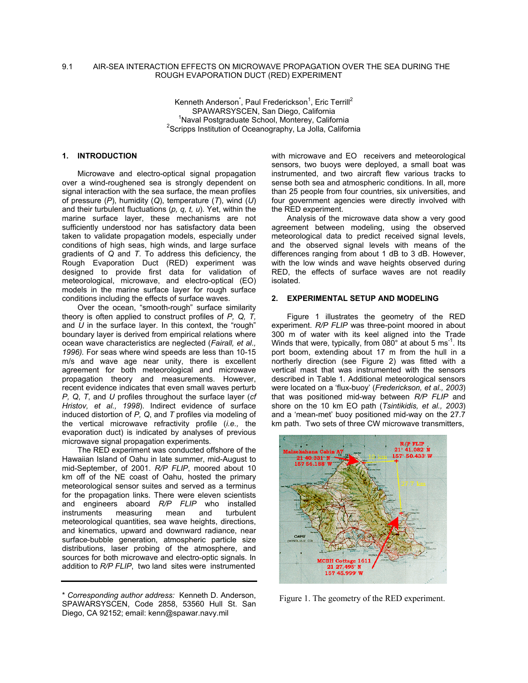## 9.1 AIR-SEA INTERACTION EFFECTS ON MICROWAVE PROPAGATION OVER THE SEA DURING THE ROUGH EVAPORATION DUCT (RED) EXPERIMENT

Kenneth Anderson<sup>\*</sup>, Paul Frederickson<sup>1</sup>, Eric Terrill<sup>2</sup> SPAWARSYSCEN, San Diego, California <sup>1</sup> <sup>1</sup>Naval Postgraduate School, Monterey, California  $2$ Scripps Institution of Oceanography, La Jolla, California

# **1. INTRODUCTION**

Microwave and electro-optical signal propagation over a wind-roughened sea is strongly dependent on signal interaction with the sea surface, the mean profiles of pressure (*P*), humidity (*Q*), temperature (*T*), wind (*U*) and their turbulent fluctuations (*p, q, t, u*). Yet, within the marine surface layer, these mechanisms are not sufficiently understood nor has satisfactory data been taken to validate propagation models, especially under conditions of high seas, high winds, and large surface gradients of *Q* and *T*. To address this deficiency, the Rough Evaporation Duct (RED) experiment was designed to provide first data for validation of meteorological, microwave, and electro-optical (EO) models in the marine surface layer for rough surface conditions including the effects of surface waves.

Over the ocean, "smooth-rough" surface similarity theory is often applied to construct profiles of *P, Q, T,* and *U* in the surface layer. In this context, the "rough" boundary layer is derived from empirical relations where ocean wave characteristics are neglected (*Fairall, et al., 1996).* For seas where wind speeds are less than 10-15 m/s and wave age near unity, there is excellent agreement for both meteorological and microwave propagation theory and measurements. However, recent evidence indicates that even small waves perturb *P, Q*, *T*, and *U* profiles throughout the surface layer (*cf Hristov, et al., 1998*). Indirect evidence of surface induced distortion of *P, Q*, and *T* profiles via modeling of the vertical microwave refractivity profile (*i.e.,* the evaporation duct) is indicated by analyses of previous microwave signal propagation experiments.

The RED experiment was conducted offshore of the Hawaiian Island of Oahu in late summer, mid-August to mid-September, of 2001. *R/P FLIP*, moored about 10 km off of the NE coast of Oahu, hosted the primary meteorological sensor suites and served as a terminus for the propagation links. There were eleven scientists and engineers aboard *R/P FLIP* who installed instruments measuring mean and turbulent meteorological quantities, sea wave heights, directions, and kinematics, upward and downward radiance, near surface-bubble generation, atmospheric particle size distributions, laser probing of the atmosphere, and sources for both microwave and electro-optic signals. In addition to *R/P FLIP*, two land sites were instrumented

with microwave and EO receivers and meteorological sensors, two buoys were deployed, a small boat was instrumented, and two aircraft flew various tracks to sense both sea and atmospheric conditions. In all, more than 25 people from four countries, six universities, and four government agencies were directly involved with the RED experiment.

Analysis of the microwave data show a very good agreement between modeling, using the observed meteorological data to predict received signal levels, and the observed signal levels with means of the differences ranging from about 1 dB to 3 dB. However, with the low winds and wave heights observed during RED, the effects of surface waves are not readily isolated.

### **2. EXPERIMENTAL SETUP AND MODELING**

Figure 1 illustrates the geometry of the RED experiment. *R/P FLIP* was three-point moored in about 300 m of water with its keel aligned into the Trade Winds that were, typically, from  $080^\circ$  at about 5 ms<sup>-1</sup>. Its port boom, extending about 17 m from the hull in a northerly direction (see Figure 2) was fitted with a vertical mast that was instrumented with the sensors described in Table 1. Additional meteorological sensors were located on a 'flux-buoy' (*Frederickson, et al., 2003*) that was positioned mid-way between *R/P FLIP* and shore on the 10 km EO path (*Tsintikidis, et al., 2003*) and a 'mean-met' buoy positioned mid-way on the 27.7 km path. Two sets of three CW microwave transmitters,



Figure 1. The geometry of the RED experiment.

<sup>\*</sup> *Corresponding author address:* Kenneth D. Anderson, SPAWARSYSCEN, Code 2858, 53560 Hull St. San Diego, CA 92152; email: kenn@spawar.navy.mil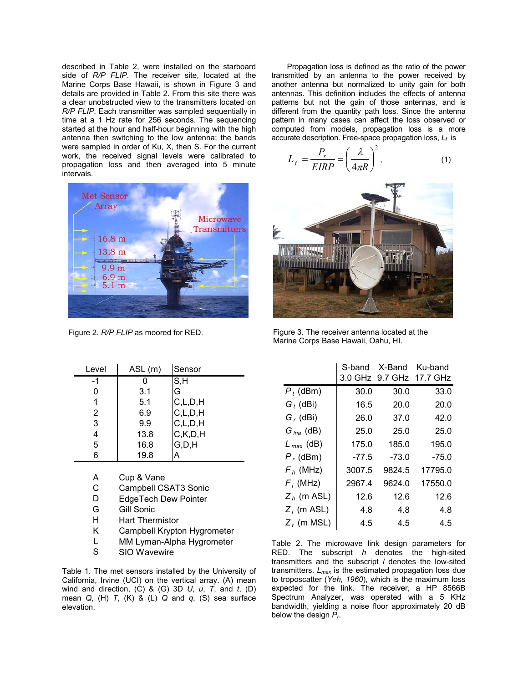described in Table 2, were installed on the starboard side of *R/P FLIP*. The receiver site, located at the Marine Corps Base Hawaii, is shown in Figure 3 and details are provided in Table 2. From this site there was a clear unobstructed view to the transmitters located on *R/P FLIP*. Each transmitter was sampled sequentially in time at a 1 Hz rate for 256 seconds. The sequencing started at the hour and half-hour beginning with the high antenna then switching to the low antenna; the bands were sampled in order of Ku, X, then S. For the current work, the received signal levels were calibrated to propagation loss and then averaged into 5 minute intervals.



| Level | ASL(m) | Sensor     |
|-------|--------|------------|
| -1    |        | S, H       |
|       | 3.1    | G          |
|       | 5.1    | C, L, D, H |
| 2     | 6.9    | C, L, D, H |
| 3     | 9.9    | C, L, D, H |
|       | 13.8   | C, K, D, H |
| 5     | 16.8   | G.D.H      |
|       | 19.8   |            |

- A Cup & Vane
- C Campbell CSAT3 Sonic
- D EdgeTech Dew Pointer
- G Gill Sonic
- H Hart Thermistor
- K Campbell Krypton Hygrometer
- L MM Lyman-Alpha Hygrometer
- S SIO Wavewire

Table 1. The met sensors installed by the University of California, Irvine (UCI) on the vertical array. (A) mean wind and direction, (C) & (G) 3D *U*, *u*, *T*, and *t*, (D) mean *Q*, (H) *T*, (K) & (L) *Q* and *q*, (S) sea surface elevation.

Propagation loss is defined as the ratio of the power transmitted by an antenna to the power received by another antenna but normalized to unity gain for both antennas. This definition includes the effects of antenna patterns but not the gain of those antennas, and is different from the quantity path loss. Since the antenna pattern in many cases can affect the loss observed or computed from models, propagation loss is a more accurate description. Free-space propagation loss, *Lf* is

$$
L_f = \frac{P_r}{EIRP} = \left(\frac{\lambda}{4\pi R}\right)^2,\tag{1}
$$



Figure 2. *R/P FLIP* as moored for RED. Figure 3. The receiver antenna located at the Marine Corps Base Hawaii, Oahu, HI.

|                       | S-band  | X-Band  | Ku-band<br>3.0 GHz 9.7 GHz 17.7 GHz |
|-----------------------|---------|---------|-------------------------------------|
| $P_t$ (dBm)           | 30.0    | 30.0    | 33.0                                |
| $G_t$ (dBi)           | 16.5    | 20.0    | 20.0                                |
| $G_r$ (dBi)           | 26.0    | 37.0    | 42.0                                |
| $G_{\text{lna}}$ (dB) | 25.0    | 25.0    | 25.0                                |
| $L_{max}$ (dB)        | 175.0   | 185.0   | 195.0                               |
| $P_r$ (dBm)           | $-77.5$ | $-73.0$ | $-75.0$                             |
| $F_h$ (MHz)           | 3007.5  | 9824.5  | 17795.0                             |
| $F_i$ (MHz)           | 2967.4  | 9624.0  | 17550.0                             |
| $Z_h$ (m ASL)         | 12.6    | 12.6    | 12.6                                |
| $Z_i$ (m ASL)         | 4.8     | 4.8     | 4.8                                 |
| $Z_r$ (m MSL)         | 4.5     | 4.5     | 4.5                                 |
|                       |         |         |                                     |

Table 2. The microwave link design parameters for RED. The subscript *h* denotes the high-sited transmitters and the subscript *l* denotes the low-sited transmitters. *Lmax* is the estimated propagation loss due to troposcatter (*Yeh, 1960*), which is the maximum loss expected for the link. The receiver, a HP 8566B Spectrum Analyzer, was operated with a 5 KHz bandwidth, yielding a noise floor approximately 20 dB below the design *Pr*.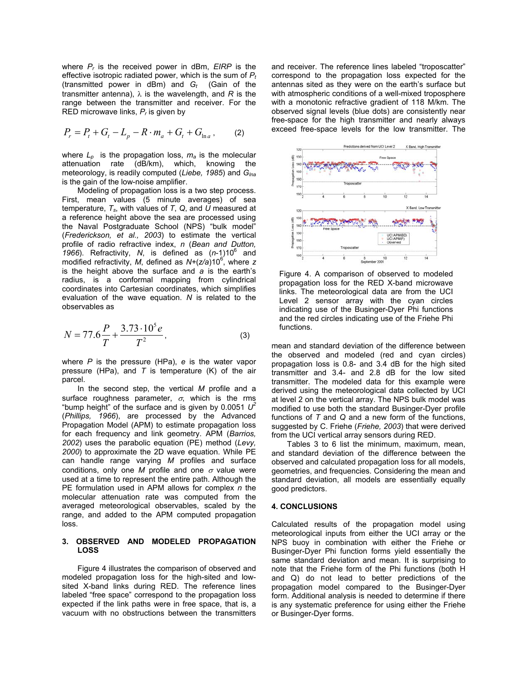where *Pr* is the received power in dBm, *EIRP* is the effective isotropic radiated power, which is the sum of *Pt* (transmitted power in dBm) and  $G_t$  (Gain of the transmitter antenna), λ is the wavelength, and *R* is the range between the transmitter and receiver. For the RED microwave links, *Pr* is given by

$$
P_r = P_t + G_t - L_p - R \cdot m_a + G_t + G_{\ln a}, \qquad (2)
$$

where  $L_p$  is the propagation loss,  $m_a$  is the molecular attenuation rate (dB/km), which, knowing the meteorology, is readily computed (*Liebe, 1985*) and *Glna* is the gain of the low-noise amplifier.

Modeling of propagation loss is a two step process. First, mean values (5 minute averages) of sea temperature,  $T_s$ , with values of  $T_s$ ,  $Q_s$ , and  $U$  measured at a reference height above the sea are processed using the Naval Postgraduate School (NPS) "bulk model" (*Frederickson, et al., 2003*) to estimate the vertical profile of radio refractive index, *n* (*Bean and Dutton,* 1966). Refractivity, N, is defined as  $(n-1)10^6$  and modified refractivity, M, defined as  $N+(z/a)10^6$ , where z is the height above the surface and *a* is the earth's radius, is a conformal mapping from cylindrical coordinates into Cartesian coordinates, which simplifies evaluation of the wave equation. *N* is related to the observables as

$$
N = 77.6 \frac{P}{T} + \frac{3.73 \cdot 10^5 e}{T^2},
$$
 (3)

where *P* is the pressure (HPa), *e* is the water vapor pressure (HPa), and *T* is temperature (K) of the air parcel.

In the second step, the vertical *M* profile and a surface roughness parameter,  $\sigma$ , which is the rms "bump height" of the surface and is given by 0.0051  $U^2$ (*Phillips, 1966*), are processed by the Advanced Propagation Model (APM) to estimate propagation loss for each frequency and link geometry. APM (*Barrios, 2002*) uses the parabolic equation (PE) method (*Levy, 2000*) to approximate the 2D wave equation. While PE can handle range varying *M* profiles and surface conditions, only one  $M$  profile and one  $\sigma$  value were used at a time to represent the entire path. Although the PE formulation used in APM allows for complex *n* the molecular attenuation rate was computed from the averaged meteorological observables, scaled by the range, and added to the APM computed propagation loss.

## **3. OBSERVED AND MODELED PROPAGATION LOSS**

Figure 4 illustrates the comparison of observed and modeled propagation loss for the high-sited and lowsited X-band links during RED. The reference lines labeled "free space" correspond to the propagation loss expected if the link paths were in free space, that is, a vacuum with no obstructions between the transmitters and receiver. The reference lines labeled "troposcatter" correspond to the propagation loss expected for the antennas sited as they were on the earth's surface but with atmospheric conditions of a well-mixed troposphere with a monotonic refractive gradient of 118 M/km. The observed signal levels (blue dots) are consistently near free-space for the high transmitter and nearly always exceed free-space levels for the low transmitter. The



Figure 4. A comparison of observed to modeled propagation loss for the RED X-band microwave links. The meteorological data are from the UCI Level 2 sensor array with the cyan circles indicating use of the Businger-Dyer Phi functions and the red circles indicating use of the Friehe Phi functions.

mean and standard deviation of the difference between the observed and modeled (red and cyan circles) propagation loss is 0.8- and 3.4 dB for the high sited transmitter and 3.4- and 2.8 dB for the low sited transmitter. The modeled data for this example were derived using the meteorological data collected by UCI at level 2 on the vertical array. The NPS bulk model was modified to use both the standard Businger-Dyer profile functions of *T* and *Q* and a new form of the functions, suggested by C. Friehe (*Friehe, 2003*) that were derived from the UCI vertical array sensors during RED.

Tables 3 to 6 list the minimum, maximum, mean, and standard deviation of the difference between the observed and calculated propagation loss for all models, geometries, and frequencies. Considering the mean and standard deviation, all models are essentially equally good predictors.

#### **4. CONCLUSIONS**

Calculated results of the propagation model using meteorological inputs from either the UCI array or the NPS buoy in combination with either the Friehe or Businger-Dyer Phi function forms yield essentially the same standard deviation and mean. It is surprising to note that the Friehe form of the Phi functions (both H and Q) do not lead to better predictions of the propagation model compared to the Businger-Dyer form. Additional analysis is needed to determine if there is any systematic preference for using either the Friehe or Businger-Dyer forms.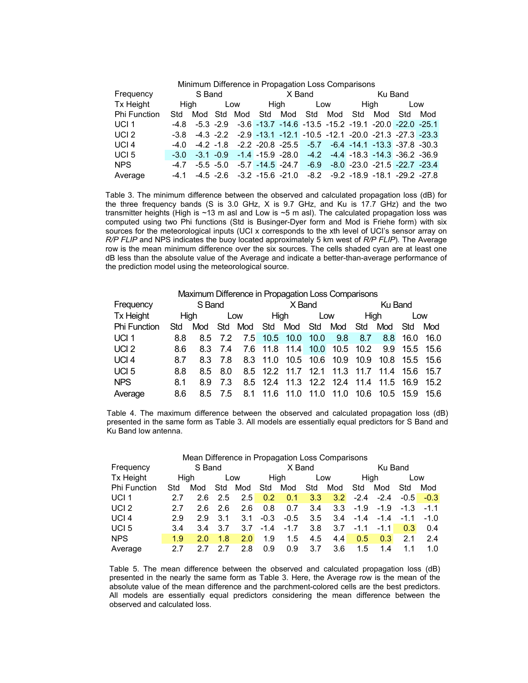| Minimum Difference in Propagation Loss Comparisons |        |  |     |  |  |                                 |  |          |         |      |                                                                                             |     |  |
|----------------------------------------------------|--------|--|-----|--|--|---------------------------------|--|----------|---------|------|---------------------------------------------------------------------------------------------|-----|--|
| Frequency                                          | S Band |  |     |  |  | X Band                          |  |          | Ku Band |      |                                                                                             |     |  |
| Tx Height                                          | Hiah   |  | Low |  |  |                                 |  | High Low |         | High |                                                                                             | Low |  |
| Phi Function                                       | Std    |  |     |  |  | Mod Std Mod Std Mod Std Mod Std |  |          |         |      | Mod Std                                                                                     | Mod |  |
| UCI <sub>1</sub>                                   |        |  |     |  |  |                                 |  |          |         |      | -4.8 -5.3 -2.9 -3.6 -13.7 -14.6 -13.5 -15.2 -19.1 -20.0 -22.0 -25.1                         |     |  |
| UCI <sub>2</sub>                                   |        |  |     |  |  |                                 |  |          |         |      | $-3.8$ $-4.3$ $-2.2$ $-2.9$ $-13.1$ $-12.1$ $-10.5$ $-12.1$ $-20.0$ $-21.3$ $-27.3$ $-23.3$ |     |  |
| UCI <sub>4</sub>                                   |        |  |     |  |  |                                 |  |          |         |      | $-4.0$ $-4.2$ $-1.8$ $-2.2$ $-20.8$ $-25.5$ $-5.7$ $-6.4$ $-14.1$ $-13.3$ $-37.8$ $-30.3$   |     |  |
| UCI <sub>5</sub>                                   |        |  |     |  |  |                                 |  |          |         |      | $-3.0$ $-3.1$ $-0.9$ $-1.4$ $-15.9$ $-28.0$ $-4.2$ $-4.4$ $-18.3$ $-14.3$ $-36.2$ $-36.9$   |     |  |
| <b>NPS</b>                                         | $-4.7$ |  |     |  |  |                                 |  |          |         |      | $-5.5$ $-5.0$ $-5.7$ $-14.5$ $-24.7$ $-6.9$ $-8.0$ $-23.0$ $-21.5$ $-22.7$ $-23.4$          |     |  |
| Average                                            |        |  |     |  |  |                                 |  |          |         |      | $-4.1$ $-4.5$ $-2.6$ $-3.2$ $-15.6$ $-21.0$ $-8.2$ $-9.2$ $-18.9$ $-18.1$ $-29.2$ $-27.8$   |     |  |

Table 3. The minimum difference between the observed and calculated propagation loss (dB) for the three frequency bands (S is 3.0 GHz, X is 9.7 GHz, and Ku is 17.7 GHz) and the two transmitter heights (High is ~13 m asl and Low is ~5 m asl). The calculated propagation loss was computed using two Phi functions (Std is Businger-Dyer form and Mod is Friehe form) with six sources for the meteorological inputs (UCI x corresponds to the xth level of UCI's sensor array on *R/P FLIP* and NPS indicates the buoy located approximately 5 km west of *R/P FLIP*)*.* The Average row is the mean minimum difference over the six sources. The cells shaded cyan are at least one dB less than the absolute value of the Average and indicate a better-than-average performance of the prediction model using the meteorological source.

| Maximum Difference in Propagation Loss Comparisons |        |             |         |  |      |                                             |      |      |         |               |           |      |
|----------------------------------------------------|--------|-------------|---------|--|------|---------------------------------------------|------|------|---------|---------------|-----------|------|
| Frequency                                          | S Band |             |         |  |      | X Band                                      |      |      | Ku Band |               |           |      |
| <b>Tx Height</b>                                   | High   |             | Low     |  | High |                                             | Low  |      | Hiah    |               | Low       |      |
| <b>Phi Function</b>                                | Std    | Mod Std Mod |         |  |      | Std Mod Std Mod                             |      |      | Std     | Mod           | Std       | Mod  |
| UCI <sub>1</sub>                                   | 8.8    |             | 8.5 7.2 |  |      | 7.5 10.5 10.0 10.0                          |      | 9.8  | 8.7     | 8.8           | 16.0      | 16.0 |
| UCI <sub>2</sub>                                   | 8.6    |             | 8.3 7.4 |  |      | 7.6 11.8 11.4 10.0 10.5 10.2                |      |      |         | 9.9 15.5 15.6 |           |      |
| UCI <sub>4</sub>                                   | 8.7    | 8.3         | -7.8    |  |      | 8.3 11.0 10.5 10.6 10.9 10.9 10.8 15.5 15.6 |      |      |         |               |           |      |
| UCI <sub>5</sub>                                   | 8.8    | 8.5         | 8.0     |  |      | 8.5 12.2 11.7 12.1 11.3 11.7 11.4 15.6      |      |      |         |               |           | 15.7 |
| <b>NPS</b>                                         | 8.1    | 8.9         | 7.3     |  |      | 8.5 12.4 11.3 12.2 12.4 11.4 11.5 16.9      |      |      |         |               |           | 15.2 |
| Average                                            | 8.6    | 8.5         | -7.5    |  |      | 8.1 11.6 11.0                               | 11.0 | 11.0 | 10.6    |               | 10.5 15.9 | 15.6 |

Table 4. The maximum difference between the observed and calculated propagation loss (dB) presented in the same form as Table 3. All models are essentially equal predictors for S Band and Ku Band low antenna.

| Mean Difference in Propagation Loss Comparisons |        |     |             |     |        |        |                  |      |         |        |        |        |
|-------------------------------------------------|--------|-----|-------------|-----|--------|--------|------------------|------|---------|--------|--------|--------|
| Frequency                                       | S Band |     |             |     |        | X Band |                  |      | Ku Band |        |        |        |
| Tx Height                                       | Hiah   |     | Hiah<br>Low |     |        | Low    |                  | Hiah |         | Low    |        |        |
| <b>Phi Function</b>                             | Std    | Mod | Std         | Mod | Std    | Mod    | Std              | Mod  | Std     | Mod    | Std    | Mod    |
| UCI <sub>1</sub>                                | 27     | 2.6 | 2.5         | 2.5 | 0.2    | 0.1    | 3.3 <sub>2</sub> | 3.2  | $-2.4$  | $-2.4$ | $-0.5$ | $-0.3$ |
| UCI <sub>2</sub>                                | 2.7    | 2.6 | 2.6         | 2.6 | 0.8    | 0.7    | 3.4              | 3.3  | $-1.9$  | $-1.9$ | -1.3   | $-1.1$ |
| UCI <sub>4</sub>                                | 2.9    | 2.9 | 3.1         | 3.1 | $-0.3$ | $-0.5$ | 3.5              | 3.4  | $-1.4$  | $-1.4$ | $-1.1$ | $-1.0$ |
| UCI <sub>5</sub>                                | 3.4    | 3.4 | 3.7         | 3.7 | $-1.4$ | $-1.7$ | 3.8              | 3.7  | $-1.1$  | $-1.1$ | 0.3    | 0.4    |
| <b>NPS</b>                                      | 1.9    | 2.0 | 1.8         | 2.0 | 1.9    | 1.5    | 4.5              | 4.4  | 0.5     | 0.3    | 2.1    | 2.4    |
| Average                                         | 27     |     |             | 2.8 | 0.9    | 0.9    | 3.7              | 3.6  | 1.5     | 14     |        | 1.0    |

Table 5. The mean difference between the observed and calculated propagation loss (dB) presented in the nearly the same form as Table 3. Here, the Average row is the mean of the absolute value of the mean difference and the parchment-colored cells are the best predictors. All models are essentially equal predictors considering the mean difference between the observed and calculated loss.